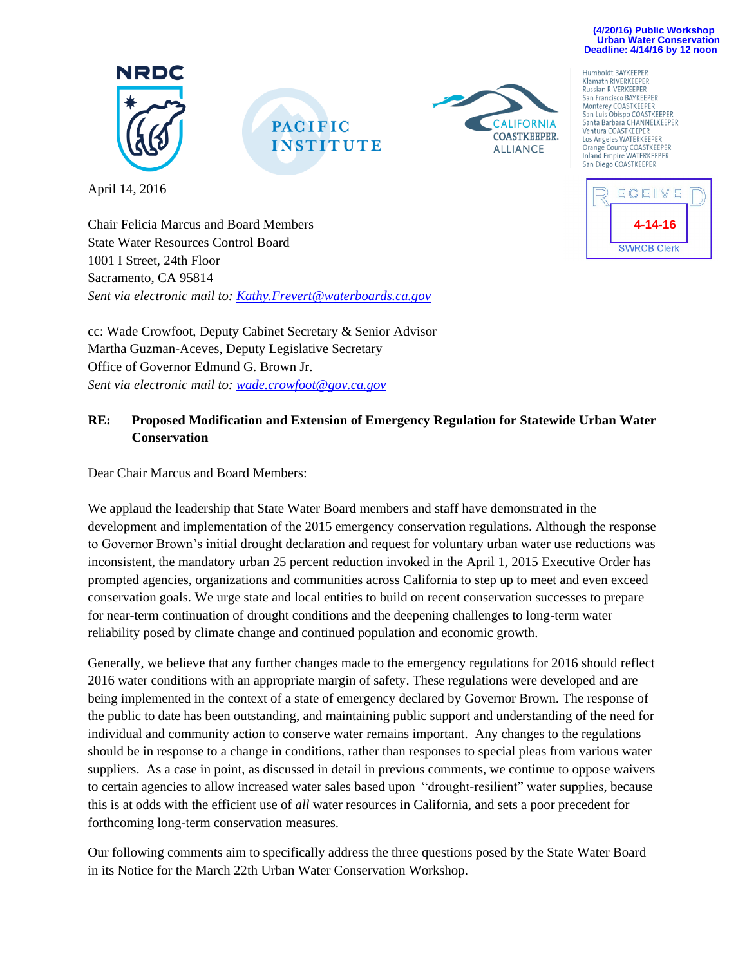#### **(4/20/16) Public Workshop Urban Water Conservation Deadline: 4/14/16 by 12 noon**



April 14, 2016





Klamath RIVERKEEPE **Russian RIVERKEEPER** San Francisco BAYKEEPER Monterey COASTKEEPER San Luis Obispo COASTKEEPER Santa Barbara CHANNELKEEPER Ventura COASTKEEPER Los Angeles WATERKEEPER Orange County COASTKEEPER<br>Inland Empire WATERKEEPER San Diego COASTKEEPER

Humboldt BAYKEEPER



Chair Felicia Marcus and Board Members State Water Resources Control Board 1001 I Street, 24th Floor Sacramento, CA 95814 *Sent via electronic mail to: [Kathy.Frevert@waterboards.ca.gov](mailto:Kathy.Frevert@waterboards.ca.gov)*

cc: Wade Crowfoot, Deputy Cabinet Secretary & Senior Advisor Martha Guzman-Aceves, Deputy Legislative Secretary Office of Governor Edmund G. Brown Jr. *Sent via electronic mail to: [wade.crowfoot@gov.ca.gov](mailto:wade.crowfoot@gov.ca.gov)*

# **RE: Proposed Modification and Extension of Emergency Regulation for Statewide Urban Water Conservation**

Dear Chair Marcus and Board Members:

We applaud the leadership that State Water Board members and staff have demonstrated in the development and implementation of the 2015 emergency conservation regulations. Although the response to Governor Brown's initial drought declaration and request for voluntary urban water use reductions was inconsistent, the mandatory urban 25 percent reduction invoked in the April 1, 2015 Executive Order has prompted agencies, organizations and communities across California to step up to meet and even exceed conservation goals. We urge state and local entities to build on recent conservation successes to prepare for near-term continuation of drought conditions and the deepening challenges to long-term water reliability posed by climate change and continued population and economic growth.

Generally, we believe that any further changes made to the emergency regulations for 2016 should reflect 2016 water conditions with an appropriate margin of safety. These regulations were developed and are being implemented in the context of a state of emergency declared by Governor Brown. The response of the public to date has been outstanding, and maintaining public support and understanding of the need for individual and community action to conserve water remains important. Any changes to the regulations should be in response to a change in conditions, rather than responses to special pleas from various water suppliers. As a case in point, as discussed in detail in previous comments, we continue to oppose waivers to certain agencies to allow increased water sales based upon "drought-resilient" water supplies, because this is at odds with the efficient use of *all* water resources in California, and sets a poor precedent for forthcoming long-term conservation measures.

Our following comments aim to specifically address the three questions posed by the State Water Board in its Notice for the March 22th Urban Water Conservation Workshop.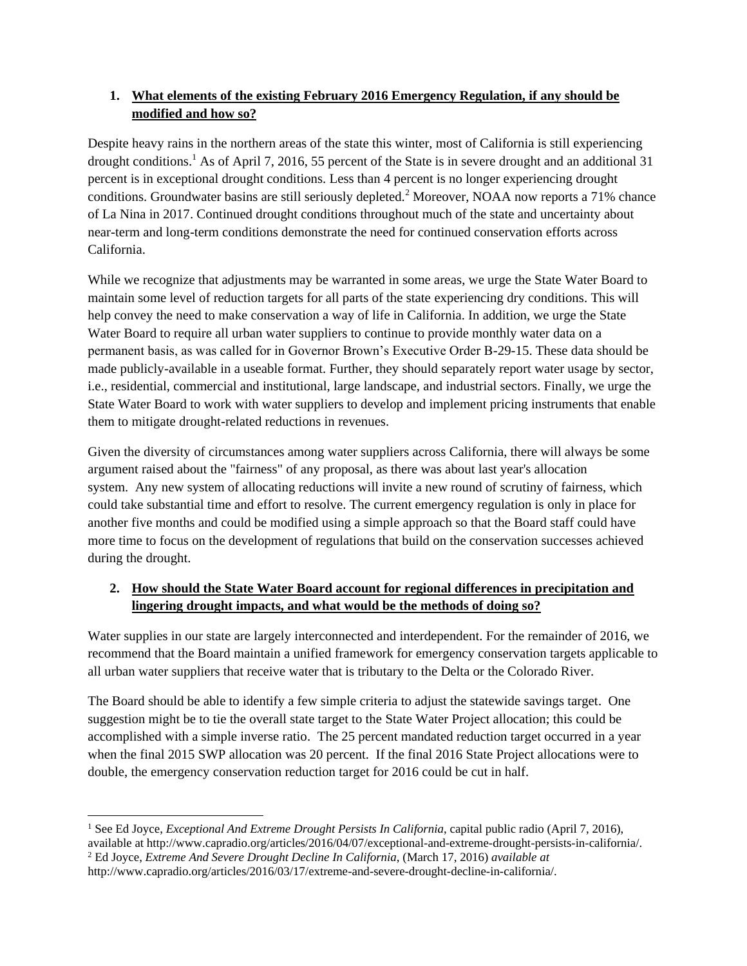## **1. What elements of the existing February 2016 Emergency Regulation, if any should be modified and how so?**

Despite heavy rains in the northern areas of the state this winter, most of California is still experiencing drought conditions.<sup>1</sup> As of April 7, 2016, 55 percent of the State is in severe drought and an additional 31 percent is in exceptional drought conditions. Less than 4 percent is no longer experiencing drought conditions. Groundwater basins are still seriously depleted.<sup>2</sup> Moreover, NOAA now reports a 71% chance of La Nina in 2017. Continued drought conditions throughout much of the state and uncertainty about near-term and long-term conditions demonstrate the need for continued conservation efforts across California.

While we recognize that adjustments may be warranted in some areas, we urge the State Water Board to maintain some level of reduction targets for all parts of the state experiencing dry conditions. This will help convey the need to make conservation a way of life in California. In addition, we urge the State Water Board to require all urban water suppliers to continue to provide monthly water data on a permanent basis, as was called for in Governor Brown's Executive Order B-29-15. These data should be made publicly-available in a useable format. Further, they should separately report water usage by sector, i.e., residential, commercial and institutional, large landscape, and industrial sectors. Finally, we urge the State Water Board to work with water suppliers to develop and implement pricing instruments that enable them to mitigate drought-related reductions in revenues.

Given the diversity of circumstances among water suppliers across California, there will always be some argument raised about the "fairness" of any proposal, as there was about last year's allocation system. Any new system of allocating reductions will invite a new round of scrutiny of fairness, which could take substantial time and effort to resolve. The current emergency regulation is only in place for another five months and could be modified using a simple approach so that the Board staff could have more time to focus on the development of regulations that build on the conservation successes achieved during the drought.

# **2. How should the State Water Board account for regional differences in precipitation and lingering drought impacts, and what would be the methods of doing so?**

Water supplies in our state are largely interconnected and interdependent. For the remainder of 2016, we recommend that the Board maintain a unified framework for emergency conservation targets applicable to all urban water suppliers that receive water that is tributary to the Delta or the Colorado River.

The Board should be able to identify a few simple criteria to adjust the statewide savings target. One suggestion might be to tie the overall state target to the State Water Project allocation; this could be accomplished with a simple inverse ratio. The 25 percent mandated reduction target occurred in a year when the final 2015 SWP allocation was 20 percent. If the final 2016 State Project allocations were to double, the emergency conservation reduction target for 2016 could be cut in half.

<sup>2</sup> Ed Joyce, *Extreme And Severe Drought Decline In California*, (March 17, 2016) *available at*

 $\overline{\phantom{a}}$ <sup>1</sup> See Ed Joyce, *Exceptional And Extreme Drought Persists In California*, capital public radio (April 7, 2016), available at http://www.capradio.org/articles/2016/04/07/exceptional-and-extreme-drought-persists-in-california/.

http://www.capradio.org/articles/2016/03/17/extreme-and-severe-drought-decline-in-california/.